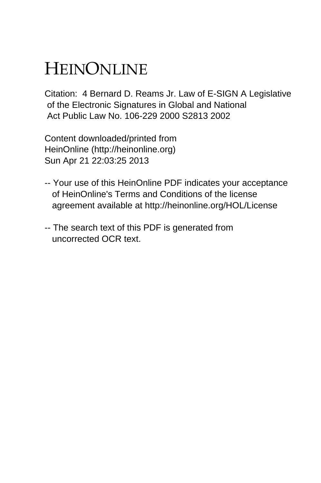# HEINONLINE

Citation: 4 Bernard D. Reams Jr. Law of E-SIGN A Legislative of the Electronic Signatures in Global and National Act Public Law No. 106-229 2000 S2813 2002

Content downloaded/printed from HeinOnline (http://heinonline.org) Sun Apr 21 22:03:25 2013

- -- Your use of this HeinOnline PDF indicates your acceptance of HeinOnline's Terms and Conditions of the license agreement available at http://heinonline.org/HOL/License
- -- The search text of this PDF is generated from uncorrected OCR text.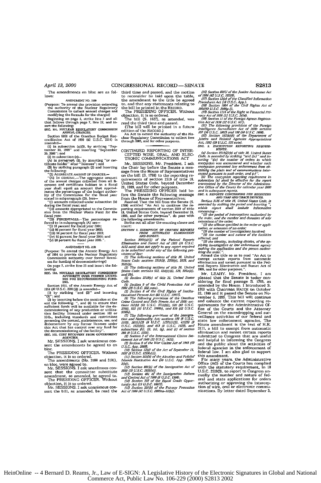The amendments en bloc are as follows:

### AMENDMENT NO. 3100

(Purpose: To amend the provision extending<br>the authority of the Nuclear Regulatory<br>Commission to collect amutal charges and<br>modifying the formula for the charges)

modifying the formula for the charges<br>
negativing the property and such that follows through page 7, line 22, and in<br>
that follows through page 7, line 22, and in-<br>
set the following:<br>
set the following:<br>
set the Character

amended—<br>(1) in subsection (a)(3), by striking "Sep-<br>tember 30, 1999" and inserting "September 20, 2005": and

 $(2)$  in subsection  $(c)$ -

 $\mu$ ,  $\mu$  a subsection (c)—<br>(A) in paragraph (I), by inserting "or certificate holder" after "licensee"; and<br>(E) by striking paragraph (2) and inserting<br>the following:

e following:<br>"(2) ACGREGATE AMOUNT OF CHARCES.—

"(2) ACCERCATE ANOUNT OF CHARCES.<br>
"(A) IN CENERAL.—The aggregate amount of the annual charges collected from all linear<br>
censees and certificate holders in a filscal<br>
rease shall equal an amount that approximate the prox

"(2) amounts collected under subsection (b)<br>
"(ii) amounts collected under subsection (b)<br>
"(iii) amounts appropriated to the Commis-<br>
sign from the Nuclear Waste Fund for the<br>
fiscal year.<br>
"(B) PERCENTACES.—The percenta

(v) 88 percent for fiscal year 2005."

## AMENDMENT NO. 3101

(Purpose: To amend the Atomic Energy Act<br>of 1954 to provide the Nuclear Regulatory<br>Commission authority over former licens-

ees for funding of decommissionings)<br>On page 7, strike line 23 and insert the following

## NOWLES .<br>SEC. 102. NUCLEAR REGULATORY COMMISSION<br>EES FOR DECOMMISSIONING FUND.<br>EES FOR DECOMMISSIONING FUND.

Section 1611. of the Atomic Energy Act of<br>1954 (42 U.S.C. 2201(i)) is amended—<br>(i) by striking "and (3)" and Inserting<br>(3)"; and<br>(2) by inserting before the semicolon at the<br>(2) by inserting before the semicolon at the

(2) by inserting before the semicolon at the sufficient funds will be available for the detailed for the detailed for the detailed for the detailed for the detailed for the commissioning of any production or utilized to t

Mr. SESSIONS. I ask unanimous con-

sent the amendments be agreed to en bloc The PRESIDING OFFICER. Without

objection, it is so ordered.<br>The amendments (No. 3100 and 3101),

en bloc, were agreed to.<br>Mr. SESSIONS. I ask unanimous con-

sent that the committee substitute amendment, as amended, be agreed to.<br>The PRESIDING OFFICER. Without

objection, it is so ordered.<br>Mr. SESSIONS. I ask unanimous consent the bill, as amended, be read the

to reconsider be laid upon the table,<br>the amendment to the title be agreed to, and that any statements relating to<br>the bill be printed in the RECORD.<br>The PRESIDING OFFICER. Without

expection, it is so ordered.<br>The bill (S. 1627), as amended, was<br>read the third time and passed.

read the bill will be printed in a future<br>edition of the RECORD.)<br>An Act to extend the authority of the Nu-

clear Regulatory Commission to collect fees<br>through 2005, and for other purposes.

## CONTINUED REPORTING OF INTER-<br>CEPTED WIRE, ORAL, AND ELEC-<br>TRONIC COMMUNICATIONS ACT

Mr. SESSIONS, Mr. President, I ask the Chair lay before the Senate a mesthe Unair lay before the Journal of move-<br>sage from the House of Representatives<br>on the bill (S. 1769) to the reporting re-<br>quirements of section 2519 of title 18.<br>United States Code, beyond December

21, 1999, and for other purposes.<br>The PRESIDING OFFICER laid be-

The PRESEDING OF<br>reflexe laid be-control of the Senate the following message from the House of Representatives;<br> $R\approx 0.00$  and the message of Representatives; and<br> $R\approx 0.00$  and the control of the positive point of the<br>po

insert:

insert:<br>
secritor L. EXEMPTION OF CERTAIN REPORTS<br>
FROM AND SUNSER:<br>
Section MOD SUNSER:<br>
Section MOD SUNSER:<br>
Section MOD SUNSER:<br>
Elimination Sunser (1995) to any report required<br>
LILE noted does not apply to any report

sions of law.<br>(1) The following sections of title 18, United<br>tates Code: sections 2519(3), 2709(e), 3126, and

3525(b).<br>3525(b).<br>(2) The following sections of title 28, United<br>States Code: sections 522, 524(c)(6), 529, 589a(d). and 594.

111 Jay.<br>(3) Section 3718(c) of title 31, United States

Code.<br>
Code.<br>
Code.<br>
(a) Section 9 of the Child Protection Act of<br>
(8) Section 8 of the Civil Rights of Institu-<br>
(8) Section 8 of the Civil Rights of Institu-<br>
(8) The following provisions of the Omnibus<br>
3769), 522 (42

The following provisions of the In (*i*) the following provisions of the Immigra-<br>tion and Nationality Act: sections 105 (*B* U.S.C.<br>1103), 207(c)(21) 8 U.S.C. 1157(c)(3), 412(2) (*B* U.S.C.<br>15.C. 1522(b)), and 413 (*B* U.S.C. 1522), and<br>subspections fol,  $(7)$ 

 $2(b)$ ).<br>(12) Se

2(b)). Cascian 801(e) of the Immigration Act of<br>1890 (29 U.S.C. 2892(e).<br>1990 (29 U.S.C. 2892(e).<br>2013 Section 401 of the Immigration Reform<br>and Control Act of 1986 (8 U.S.C. 1881).<br>1991 (44 U.S.C. 1891). Castle Carl Act

**LE (6)** Section 600U of the Justice Acts and  $\overline{O(26)}$ <br>of 1984 (42 U.S.C. 1989) he Classificate Acts of 1984 (42 U.S.C. 1989) he Classified Information<br>Provides the main field of  $\overline{O(26)}$ . 2009-3), the Civil Rights

**SEC. 2. ENCRYPTION REPORTING REQUIRE-**<br>MENTS.

all Section 2519(2) (b) of title 18, United States<br>Code, is amended by striking "and (iv)" and in-<br>serting "(iv) the number of orders in which<br>encryption was encountered and whether such  $\begin{tabular}{ll} \textit{unary} \textit{num was encountered and whether such} \\ \textit{energy} \textit{tion prevented law enforcement from obtained} \\ \textit{taling the plant text of community} \\ \textit{caplet} \textit{pursuant to such order, and (v)''}, \\ \textit{(b) The encryption reporting requirement in} \end{tabular}$ 

entrypuon prevente avat enconcentent trom<br>talining the plain text of communications inter-<br>equel pursuant to such order and (v)'.<br>complexity in the computer of the properties in subsection (a) that the discretive for the r

the Ollice of the Courts for calendar year 2000<br>and in subsequent reports.<br>SEC. 3. REPORTS CONCERNING PEN REGISTERS<br>SEC. 3. REPORTS CONCERNING PEN REGISTERS.<br>Section 3128 of tule 18, United States Code, is<br>amended by strik concerning

"(1) the period of interceptions authorized by<br>the order, and the number and duration of any

the order, and the northermore and duration of any<br>extensions of the order,<br>"(2) the offense specified in the order or appli-<br>cation, or extension of an order,<br>"(3) the number of investigations involved;<br>"(4) the number an

affected; and<br>affected; and<br>"(5) the identity, including district, of the ap-<br>"(5) the identity, including or law enforcement agency

(5) the identity, incideng district, of the approximation physic property properties that the properties of the properties of the properties of the second the properties of the exempt certain reports the exempt certain re 1995, and for other purposes.".

Mr. LEAHY. Mr. President. I am plassed that the Senate is today consistent and<br>endering for final passage S. 1769, as amended by the House-I introduced S.<br>1769 with Chairman HATCH on October 22, 1999 and it passed the Sen Mr. LEAHY. Mr. President, I am state law enforcement agencies. The<br>House amendment is the text of H.R.<br>3111, a bill to exempt from automatic 311. a bill to exempt from automatic<br>is abundance elimination and sumsterer almorities and helpful in informing the Congress<br>and helpful in informing the Congress and helpful in informing the Congress<br>and helpful in infor

eral and state applications for orders erar and state approving the intercep-<br>authorizing or approving the intercep-<br>tion of wire, oral or electronic commu-<br>nications. By letter dated September 3,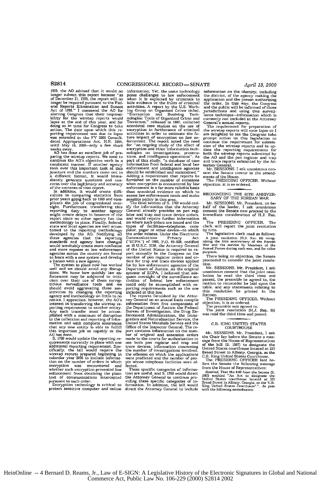**1919.** the **AO** advised that it would no longer submit this report because "as of December 21, 1999, the report will no oral Reports Elimination **and** Sunset Act of **1995."** I commend the **AO for** alerting Congress that their responsibility for the wiretap reports would lapse at the end of this year, and for doing so in time for Congress to take action. The date upon which this **re-**porting requirement was due to lapse was extended in the FY 2000 Consolidated Appropriations Act, H.R. 3194, until May **15,** 2000-only a few short

weeks away. AD has done an excellent job of preparing the wiretap reports. We need to continue the AO's objective work in a consistent manner. If another agency took over this important task at this juncture and the numbers came out in a different format, it would imendiately generate questions and con- terns over the legitimacy **and** accuracy of the contents of that report. In addition, it would create diffi-

culties in comparing statistics from prior years going back to **1969** and complicate the **job** of congressional over-sight. Furthermore. transferring this reporting duty to another agency might create delays in issuance of the report since no other agency has the methodology in place. Finally, federal, state and local agencies are well accustomed to the reporting methodology developed **by** the **AO.** Notifying all these agencies that the reporting standards and agency have changed **would** inevitably create more confusion and more expense as law enforcement agencies across the country are forced to learn with a new system and develop

a liaison with a new agency. The system in place now has worked **well** and we should avoid **any** disruptions. We know how quickly **law** en- forcement may **be** subjected to criticism over their use of these surrep- titious surveillance tools and we should avoid aggravating these sensitivities **by** changing the reporting agency and methodology **on** little to no notice. I appreciate, however, the AO's Interest in transferring the wiretap re- porting requirement to another entity' Any such transfer must be accom-Any such transfer must be accom-<br>plished with a minimum of disruption to the collection and reporting of infor- mation and with complete assurances that any new entity is able to fulfill this important job **as** capably as the **AO** has done. **S. 17G9** would update the reporting re- quirements currently in place with one

additional reporting requirement. Spe- cifically, the bill would require the wiretap reports prepared beginning in calendar year **2000** to include informa tion on the number of orders in which encryption was encountered **and** whether such encryption prevented law encryption was encountered and<br>whether such encryption prevented law<br>enforcement from obtaining the plain<br>text of communications intercepted

pursuant to such order. Encryption technology is critical to protect sensitive computer **and** online information. Yet, the same technology poses challenges to law enforcement when it is exploited by criminals to<br>hide widence or the fruits of criminal<br>activities. A report by the U.S. Work-<br>Ing Group on Organized Crime tried,<br>"Encryption and Evolving Tech-<br>nologies: Tools of Organized Crime and<br>T anecdotal Case studies on the use of encryption in furtherance **of** criminal activities in order to estimate the fu-<br>ture impact of encryption on law en-<br>forcement. The report noted the need<br>for "an ongoing study of the effect of<br>encryption and other information technologies on investigations, prosecu- tions, **and** intelligence operations". As part of this study, "a database of case information from federal and local law enforcement and intelligence agencies should be established and maintained." Adding a requirement that reports be<br>furnished on the number of occasions<br>when encryption is encountered by law enforcement is a far more reliable basis than anecdotal evidence **on** which to assess law enforcement needs and make

sensible policy in this area The final section of **S.** 1769 would cod- **ify** the information that the Attorney General already provides on pen register **and** trap and trace device orders, and would require further information **on** where such orders are issued and the on where solar others are issued and the<br>puter, pager or other device-to which<br>the order relates. Under the Electronic Communications Privacy Act **("ECPA") of I986,** P.O. **99-508,** codified at **18 U.S.C. 3126.** the Attorney General of the United States is required to re-<br>port annually to the Congress on the comment of pen register orders and or-<br>enumber of pen register orders and or-<br>ders for trap and trace devices applied<br>for by law enforcement agen tivities of federal law enforcement<br>could only be accomplished with re-<br>porting requirements such as the one

included in this law.<br>The reports furnished by the Attor-<br>ney General on an annual basis compile<br>information from five components of<br>the Department of Justice; the Federal<br>Bureau of Investigation, the Drug Enforcement Administration, the Immigration and Naturalization Service, the United States Marshals Service and the Office of the Inspector General. The re-<br>port contains information on the num**ber** of original and extension **orders** made to the courts for authorization to use both pen register **and** trap and trace devices, information concerning the number of investigations involved, the offenses **on** which the applications were predicted **and** the number of peo- **ple** whose telephone facilities were af-

fected.<br>These specific categories of informa-<br>tion are useful, and S. 1769 would direct tion are useful, and **S.** 1769 would direct the Attorney General to continue providing these specific categories of in-<br>formation. In addition, the bill would direct the Attorney General to include

information on the identity, including the district, of the agency making the application **and** the person authorizing the order. In this way, the Congress and the public will be informed of those<br>jurisdictions and using this surveil-<br>lance technique—information which is lance technique-information which is currently not included in the Attorney General's annual reports.

The requirement for preparation of<br>the wiretap reports will soon lapse so I and<br>am delighted to see the Congress take<br>prompt action on this legislation to<br>continue the requirement for submis-<br>sion of the wiretap reports an sion of the wiretap reports and to up-<br>date the reporting requirements for both the wiretap reports submitted **by** the **AO** and the pen register and trap and trace reports submitted **by** the At- torney General. Mr. SESSIONS. I ask unanimous con-<br>Mr. SESSIONS. I ask unanimous con-

sent the Senate concur in the amend-

ments of the House.<br>The PRESIDING OFFICER. Without objection, it is so ordered.

## RECOGNIZING THE 50TH ANNIVER SARY OF THE KOREAN WAR

Mr. **SESSIONS.** Mr. President, on behalf of the leader, I **ask** unanimous consent the Senate now proceed to the immediate consideration of **H.J. Res. 86.**

Immediate comes and the PRESIDING OFFICER. The clerk will report the joint resolution by title.<br>The legislative clerk read as follows:

**A** joint resolution **(HJ. Res. 86) recog-**<br> **A** joint resolution **(HJ. Res. 86)** recog-<br> **War and the service by Members of the Korean War and the service by Members of the<br>
<b>Armed Process** during such war, and for other

There being no objection, the Senate proceeded to consider the joint resolution.<br>Mr. SESSIONS. Mr. President, I ask

Mr. SESSIONS. Mr. President, I ask unanimous **consent** that thejoint reso-lotion be read the third time and passed, the preamble be agreed to, the motion **to** reconsider be laid upon the table, and **any** statements relating to this resolution be printed in the

RECORD.<br>The PRESIDING OFFICER. Withou<br>objection, it is so ordered.<br>The preamble was agreed to.

The preamble was agreed to.<br>The joint resolution (H.J, Res. 86) was read the third time and passed.

#### C.B. KING UNITED STATES **COURTHOUSE**

Mr. SESSIONS. Mr. President, I ask<br>the Chair lay before the Senate a mes-<br>sage from the House of Representatives<br>of the bill **(S. 1567)** to designate the United States courthouse located at 223<br>Broad Street in Albany. Georgia. as the<br>C.B. King United States Courthouse.<br>The PRESIDING OFFICER laid be-<br>fore the Senate the following message

fore the Senate the following message<br>from the House of Representatives:

ITOM Herouse to avept someon are all from the Senate (S. 1567) entitled "An Act to designate the United States contributed by the United States Courthouse located at 2223.<br>King United States courthouse located at 2223.<br>Eva